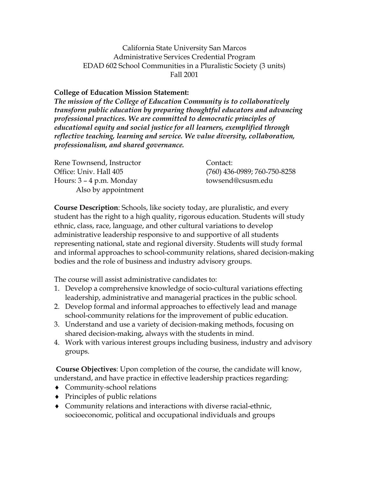California State University San Marcos Administrative Services Credential Program EDAD 602 School Communities in a Pluralistic Society (3 units) Fall 2001

#### **College of Education Mission Statement:**

*The mission of the College of Education Community is to collaboratively transform public education by preparing thoughtful educators and advancing professional practices. We are committed to democratic principles of educational equity and social justice for all learners, exemplified through reflective teaching, learning and service. We value diversity, collaboration, professionalism, and shared governance.*

| Rene Townsend, Instructor  | Contact:                     |
|----------------------------|------------------------------|
| Office: Univ. Hall 405     | (760) 436-0989; 760-750-8258 |
| Hours: $3 - 4$ p.m. Monday | towsend@csusm.edu            |
| Also by appointment        |                              |

**Course Description**: Schools, like society today, are pluralistic, and every student has the right to a high quality, rigorous education. Students will study ethnic, class, race, language, and other cultural variations to develop administrative leadership responsive to and supportive of all students representing national, state and regional diversity. Students will study formal and informal approaches to school-community relations, shared decision-making bodies and the role of business and industry advisory groups.

The course will assist administrative candidates to:

- 1. Develop a comprehensive knowledge of socio-cultural variations effecting leadership, administrative and managerial practices in the public school.
- 2. Develop formal and informal approaches to effectively lead and manage school-community relations for the improvement of public education.
- 3. Understand and use a variety of decision-making methods, focusing on shared decision-making, always with the students in mind.
- 4. Work with various interest groups including business, industry and advisory groups.

**Course Objectives**: Upon completion of the course, the candidate will know, understand, and have practice in effective leadership practices regarding:

- ♦ Community-school relations
- ♦ Principles of public relations
- ♦ Community relations and interactions with diverse racial-ethnic, socioeconomic, political and occupational individuals and groups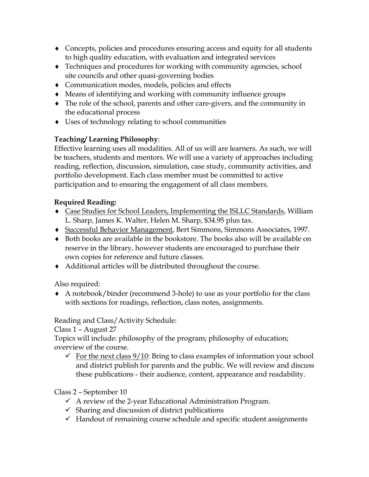- ♦ Concepts, policies and procedures ensuring access and equity for all students to high quality education, with evaluation and integrated services
- ♦ Techniques and procedures for working with community agencies, school site councils and other quasi-governing bodies
- ♦ Communication modes, models, policies and effects
- ♦ Means of identifying and working with community influence groups
- ♦ The role of the school, parents and other care-givers, and the community in the educational process
- ♦ Uses of technology relating to school communities

# **Teaching/ Learning Philosophy**:

Effective learning uses all modalities. All of us will are learners. As such, we will be teachers, students and mentors. We will use a variety of approaches including reading, reflection, discussion, simulation, case study, community activities, and portfolio development. Each class member must be committed to active participation and to ensuring the engagement of all class members.

# **Required Reading:**

- ♦ Case Studies for School Leaders, Implementing the ISLLC Standards, William L. Sharp, James K. Walter, Helen M. Sharp, \$34.95 plus tax.
- ♦ Successful Behavior Management, Bert Simmons, Simmons Associates, 1997.
- ♦ Both books are available in the bookstore. The books also will be available on reserve in the library, however students are encouraged to purchase their own copies for reference and future classes.
- ♦ Additional articles will be distributed throughout the course.

Also required:

♦ A notebook/binder (recommend 3-hole) to use as your portfolio for the class with sections for readings, reflection, class notes, assignments.

Reading and Class/Activity Schedule:

Class 1 – August 27

Topics will include: philosophy of the program; philosophy of education; overview of the course.

 $\checkmark$  For the next class  $9/10$ : Bring to class examples of information your school and district publish for parents and the public. We will review and discuss these publications - their audience, content, appearance and readability.

# Class 2 – September 10

- $\checkmark$  A review of the 2-year Educational Administration Program.
- $\checkmark$  Sharing and discussion of district publications
- $\checkmark$  Handout of remaining course schedule and specific student assignments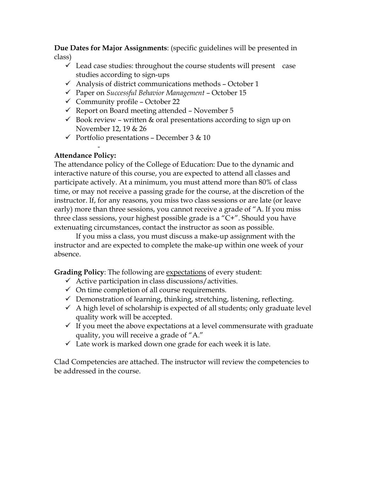**Due Dates for Major Assignments**: (specific guidelines will be presented in class)

- $\checkmark$  Lead case studies: throughout the course students will present case studies according to sign-ups
- $\checkmark$  Analysis of district communications methods October 1
- Paper on *Successful Behavior Management* October 15
- $\checkmark$  Community profile October 22
- $\checkmark$  Report on Board meeting attended November 5
- $\checkmark$  Book review written & oral presentations according to sign up on November 12, 19 & 26
- $\checkmark$  Portfolio presentations December 3 & 10

#### - **Attendance Policy:**

The attendance policy of the College of Education: Due to the dynamic and interactive nature of this course, you are expected to attend all classes and participate actively. At a minimum, you must attend more than 80% of class time, or may not receive a passing grade for the course, at the discretion of the instructor. If, for any reasons, you miss two class sessions or are late (or leave early) more than three sessions, you cannot receive a grade of "A. If you miss three class sessions, your highest possible grade is a "C+". Should you have extenuating circumstances, contact the instructor as soon as possible.

If you miss a class, you must discuss a make-up assignment with the instructor and are expected to complete the make-up within one week of your absence.

**Grading Policy**: The following are expectations of every student:

- $\checkmark$  Active participation in class discussions/activities.
- $\checkmark$  On time completion of all course requirements.
- $\checkmark$  Demonstration of learning, thinking, stretching, listening, reflecting.
- $\checkmark$  A high level of scholarship is expected of all students; only graduate level quality work will be accepted.
- $\checkmark$  If you meet the above expectations at a level commensurate with graduate quality, you will receive a grade of "A."
- $\checkmark$  Late work is marked down one grade for each week it is late.

Clad Competencies are attached. The instructor will review the competencies to be addressed in the course.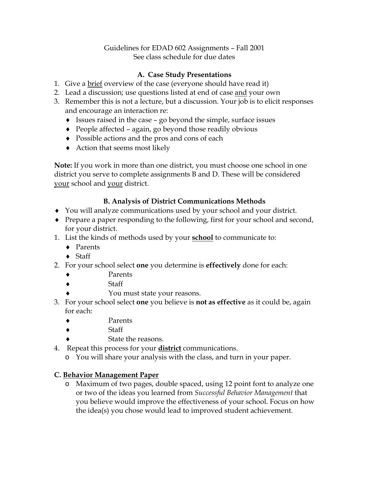#### Guidelines for EDAD 602 Assignments – Fall 2001 See class schedule for due dates

## **A. Case Study Presentations**

- 1. Give a brief overview of the case (everyone should have read it)
- 2. Lead a discussion; use questions listed at end of case and your own
- 3. Remember this is not a lecture, but a discussion. Your job is to elicit responses and encourage an interaction re:
	- $\bullet$  Issues raised in the case go beyond the simple, surface issues
	- ♦ People affected again, go beyond those readily obvious
	- ♦ Possible actions and the pros and cons of each
	- ♦ Action that seems most likely

**Note:** If you work in more than one district, you must choose one school in one district you serve to complete assignments B and D. These will be considered your school and your district.

## **B. Analysis of District Communications Methods**

- ♦ You will analyze communications used by your school and your district.
- ♦ Prepare a paper responding to the following, first for your school and second, for your district.
- 1. List the kinds of methods used by your **school** to communicate to:
	- ♦ Parents
	- $\triangleleft$  Staff
- 2. For your school select **one** you determine is **effectively** done for each:
	- Parents
	- **Staff**
	- You must state your reasons.
- 3. For your school select **one** you believe is **not as effective** as it could be, again for each:
	- Parents
	- **Staff** 
		- State the reasons.
- 4. Repeat this process for your **district** communications.
	- o You will share your analysis with the class, and turn in your paper.

## **C. Behavior Management Paper**

o Maximum of two pages, double spaced, using 12 point font to analyze one or two of the ideas you learned from *Successful Behavior Management* that you believe would improve the effectiveness of your school. Focus on how the idea(s) you chose would lead to improved student achievement.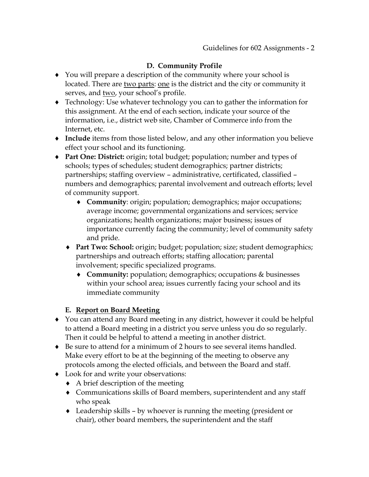## **D. Community Profile**

- ♦ You will prepare a description of the community where your school is located. There are two parts: one is the district and the city or community it serves, and two, your school's profile.
- ♦ Technology: Use whatever technology you can to gather the information for this assignment. At the end of each section, indicate your source of the information, i.e., district web site, Chamber of Commerce info from the Internet, etc.
- ♦ **Include** items from those listed below, and any other information you believe effect your school and its functioning.
- ♦ **Part One: District:** origin; total budget; population; number and types of schools; types of schedules; student demographics; partner districts; partnerships; staffing overview – administrative, certificated, classified – numbers and demographics; parental involvement and outreach efforts; level of community support.
	- ♦ **Community**: origin; population; demographics; major occupations; average income; governmental organizations and services; service organizations; health organizations; major business; issues of importance currently facing the community; level of community safety and pride.
	- ♦ **Part Two: School:** origin; budget; population; size; student demographics; partnerships and outreach efforts; staffing allocation; parental involvement; specific specialized programs.
		- ♦ **Community:** population; demographics; occupations & businesses within your school area; issues currently facing your school and its immediate community

#### **E. Report on Board Meeting**

- ♦ You can attend any Board meeting in any district, however it could be helpful to attend a Board meeting in a district you serve unless you do so regularly. Then it could be helpful to attend a meeting in another district.
- ♦ Be sure to attend for a minimum of 2 hours to see several items handled. Make every effort to be at the beginning of the meeting to observe any protocols among the elected officials, and between the Board and staff.
- ♦ Look for and write your observations:
	- ♦ A brief description of the meeting
	- ♦ Communications skills of Board members, superintendent and any staff who speak
	- ♦ Leadership skills by whoever is running the meeting (president or chair), other board members, the superintendent and the staff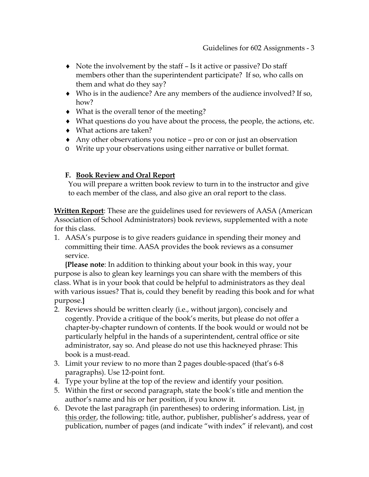- ♦ Note the involvement by the staff Is it active or passive? Do staff members other than the superintendent participate? If so, who calls on them and what do they say?
- ♦ Who is in the audience? Are any members of the audience involved? If so, how?
- ♦ What is the overall tenor of the meeting?
- ♦ What questions do you have about the process, the people, the actions, etc.
- ♦ What actions are taken?
- ♦ Any other observations you notice pro or con or just an observation
- o Write up your observations using either narrative or bullet format.

### **F. Book Review and Oral Report**

You will prepare a written book review to turn in to the instructor and give to each member of the class, and also give an oral report to the class.

**Written Report**: These are the guidelines used for reviewers of AASA (American Association of School Administrators) book reviews, supplemented with a note for this class.

1. AASA's purpose is to give readers guidance in spending their money and committing their time. AASA provides the book reviews as a consumer service.

**{Please note**: In addition to thinking about your book in this way, your purpose is also to glean key learnings you can share with the members of this class. What is in your book that could be helpful to administrators as they deal with various issues? That is, could they benefit by reading this book and for what purpose.**}**

- 2. Reviews should be written clearly (i.e., without jargon), concisely and cogently. Provide a critique of the book's merits, but please do not offer a chapter-by-chapter rundown of contents. If the book would or would not be particularly helpful in the hands of a superintendent, central office or site administrator, say so. And please do not use this hackneyed phrase: This book is a must-read.
- 3. Limit your review to no more than 2 pages double-spaced (that's 6-8 paragraphs). Use 12-point font.
- 4. Type your byline at the top of the review and identify your position.
- 5. Within the first or second paragraph, state the book's title and mention the author's name and his or her position, if you know it.
- 6. Devote the last paragraph (in parentheses) to ordering information. List, in this order, the following: title, author, publisher, publisher's address, year of publication, number of pages (and indicate "with index" if relevant), and cost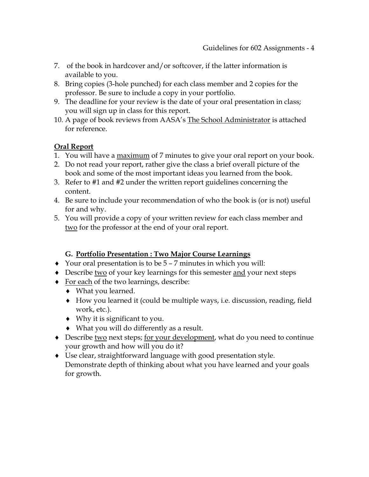- 7. of the book in hardcover and/or softcover, if the latter information is available to you.
- 8. Bring copies (3-hole punched) for each class member and 2 copies for the professor. Be sure to include a copy in your portfolio.
- 9. The deadline for your review is the date of your oral presentation in class; you will sign up in class for this report.
- 10. A page of book reviews from AASA's The School Administrator is attached for reference.

# **Oral Report**

- 1. You will have a maximum of 7 minutes to give your oral report on your book.
- 2. Do not read your report, rather give the class a brief overall picture of the book and some of the most important ideas you learned from the book.
- 3. Refer to #1 and #2 under the written report guidelines concerning the content.
- 4. Be sure to include your recommendation of who the book is (or is not) useful for and why.
- 5. You will provide a copy of your written review for each class member and two for the professor at the end of your oral report.

## **G. Portfolio Presentation : Two Major Course Learnings**

- ♦ Your oral presentation is to be 5 7 minutes in which you will:
- Describe two of your key learnings for this semester and your next steps
- ♦ For each of the two learnings, describe:
	- ♦ What you learned.
	- ♦ How you learned it (could be multiple ways, i.e. discussion, reading, field work, etc.).
	- ♦ Why it is significant to you.
	- ♦ What you will do differently as a result.
- Describe two next steps; for your development, what do you need to continue your growth and how will you do it?
- ♦ Use clear, straightforward language with good presentation style. Demonstrate depth of thinking about what you have learned and your goals for growth.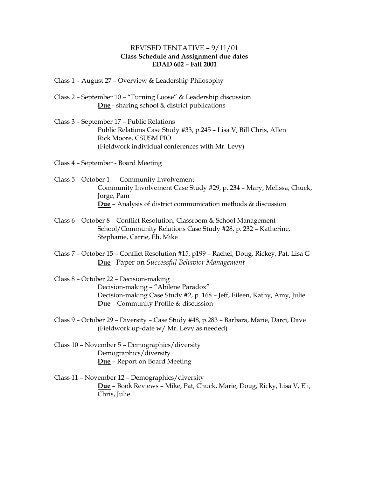#### REVISED TENTATIVE – 9/11/01 **Class Schedule and Assignment due dates EDAD 602 – Fall 2001**

- Class 1 August 27 Overview & Leadership Philosophy
- Class 2 September 10 "Turning Loose" & Leadership discussion **Due** - sharing school & district publications
- Class 3 September 17 Public Relations Public Relations Case Study #33, p.245 – Lisa V, Bill Chris, Allen Rick Moore, CSUSM PIO (Fieldwork individual conferences with Mr. Levy)

Class 4 – September - Board Meeting

- Class 5 October 1 –– Community Involvement Community Involvement Case Study #29, p. 234 – Mary, Melissa, Chuck, Jorge, Pam **Due** – Analysis of district communication methods & discussion
- Class 6 October 8 Conflict Resolution; Classroom & School Management School/Community Relations Case Study #28, p. 232 – Katherine, Stephanie, Carrie, Eli, Mike
- Class 7 October 15 Conflict Resolution #15, p199 Rachel, Doug, Rickey, Pat, Lisa G **Due** - Paper on *Successful Behavior Management*
- Class 8 October 22 Decision-making Decision-making – "Abilene Paradox" Decision-making Case Study #2, p. 168 – Jeff, Eileen, Kathy, Amy, Julie **Due** – Community Profile & discussion
- Class 9 October 29 Diversity Case Study #48, p.283 Barbara, Marie, Darci, Dave (Fieldwork up-date w/ Mr. Levy as needed)
- Class 10 November 5 Demographics/diversity Demographics/diversity **Due** – Report on Board Meeting
- Class 11 November 12 Demographics/diversity **Due** – Book Reviews – Mike, Pat, Chuck, Marie, Doug, Ricky, Lisa V, Eli, Chris, Julie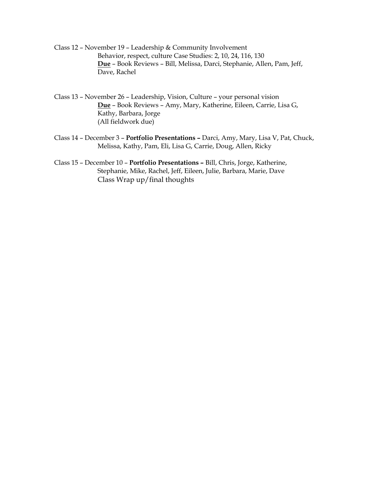Class 12 – November 19 – Leadership & Community Involvement Behavior, respect, culture Case Studies: 2, 10, 24, 116, 130 **Due** – Book Reviews – Bill, Melissa, Darci, Stephanie, Allen, Pam, Jeff, Dave, Rachel

Class 13 – November 26 – Leadership, Vision, Culture – your personal vision **Due** – Book Reviews – Amy, Mary, Katherine, Eileen, Carrie, Lisa G, Kathy, Barbara, Jorge (All fieldwork due)

- Class 14 December 3 **Portfolio Presentations –** Darci, Amy, Mary, Lisa V, Pat, Chuck, Melissa, Kathy, Pam, Eli, Lisa G, Carrie, Doug, Allen, Ricky
- Class 15 December 10 **Portfolio Presentations –** Bill, Chris, Jorge, Katherine, Stephanie, Mike, Rachel, Jeff, Eileen, Julie, Barbara, Marie, Dave Class Wrap up/final thoughts